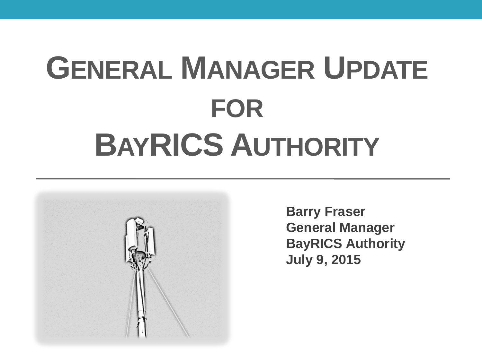## **GENERAL MANAGER UPDATE FOR BAYRICS AUTHORITY**



**Barry Fraser General Manager BayRICS Authority July 9, 2015**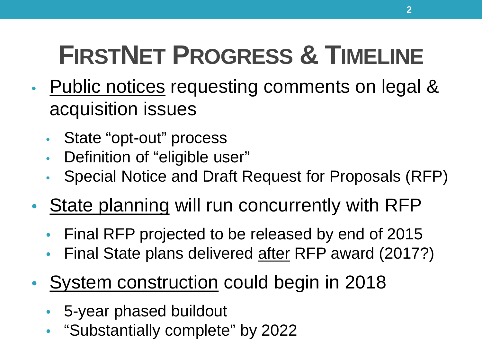## **FIRSTNET PROGRESS & TIMELINE**

- Public notices requesting comments on legal & acquisition issues
	- State "opt-out" process
	- Definition of "eligible user"
	- Special Notice and Draft Request for Proposals (RFP)
- State planning will run concurrently with RFP
	- Final RFP projected to be released by end of 2015
	- Final State plans delivered after RFP award (2017?)
- System construction could begin in 2018
	- 5-year phased buildout
	- "Substantially complete" by 2022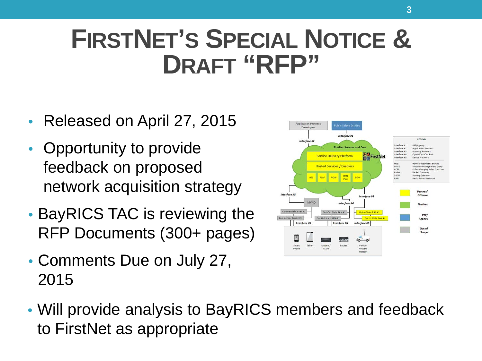### **FIRSTNET'S SPECIAL NOTICE & DRAFT "RFP"**

- Released on April 27, 2015
- Opportunity to provide feedback on proposed network acquisition strategy
- BayRICS TAC is reviewing the RFP Documents (300+ pages)
- Comments Due on July 27, 2015



• Will provide analysis to BayRICS members and feedback to FirstNet as appropriate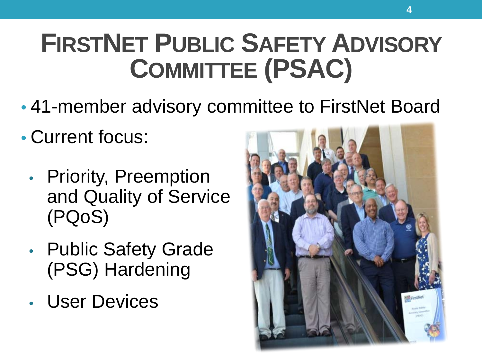## **FIRSTNET PUBLIC SAFETY ADVISORY COMMITTEE (PSAC)**

- 41-member advisory committee to FirstNet Board
- Current focus:
	- Priority, Preemption and Quality of Service (PQoS)
	- Public Safety Grade (PSG) Hardening
	- User Devices

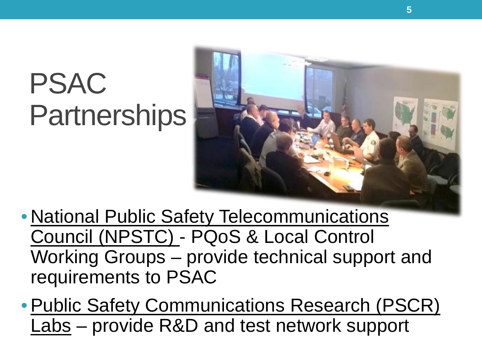## PSAC **Partnerships**



• National Public Safety Telecommunications Council (NPSTC) - PQoS & Local Control Working Groups – provide technical support and requirements to PSAC

•Public Safety Communications Research (PSCR) Labs – provide R&D and test network support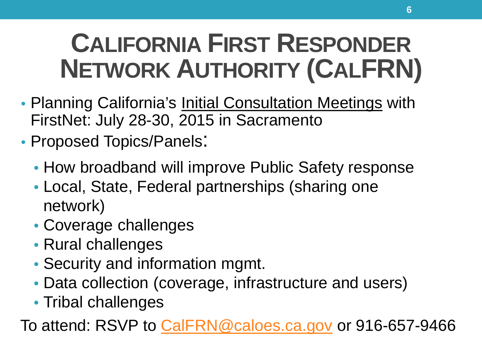## **CALIFORNIA FIRST RESPONDER NETWORK AUTHORITY (CALFRN)**

- Planning California's Initial Consultation Meetings with FirstNet: July 28-30, 2015 in Sacramento
- Proposed Topics/Panels:
	- How broadband will improve Public Safety response
	- Local, State, Federal partnerships (sharing one network)
	- Coverage challenges
	- Rural challenges
	- Security and information mgmt.
	- Data collection (coverage, infrastructure and users)
	- Tribal challenges

To attend: RSVP to [CalFRN@caloes.ca.gov](mailto:CalFRN@caloes.ca.gov) or 916-657-9466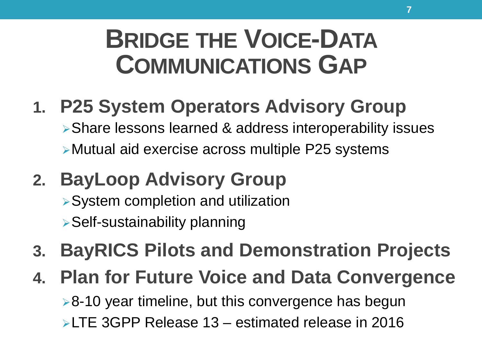### **BRIDGE THE VOICE-DATA COMMUNICATIONS GAP**

- **1. P25 System Operators Advisory Group** Share lessons learned & address interoperability issues Mutual aid exercise across multiple P25 systems
- **2. BayLoop Advisory Group**
	- System completion and utilization
	- Self-sustainability planning
- **3. BayRICS Pilots and Demonstration Projects**
- **4. Plan for Future Voice and Data Convergence**

 $\geq 8$ -10 year timeline, but this convergence has begun LTE 3GPP Release 13 – estimated release in 2016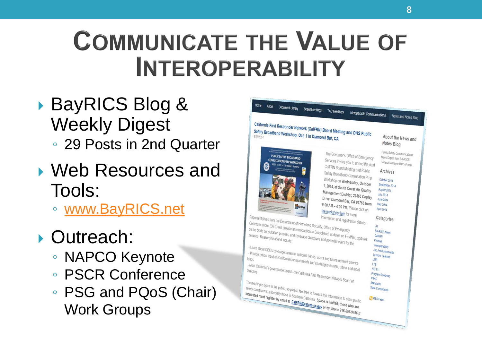### **COMMUNICATE THE VALUE OF INTEROPERABILITY**

- ▶ BayRICS Blog & Weekly Digest ◦ 29 Posts in 2nd Quarter
- Web Resources and Tools:
	- [www.BayRICS.net](http://www.bayrics.net/)
- ▶ Outreach:
	- NAPCO Keynote
	- PSCR Conference
	- PSG and PQoS (Chair) Work Groups